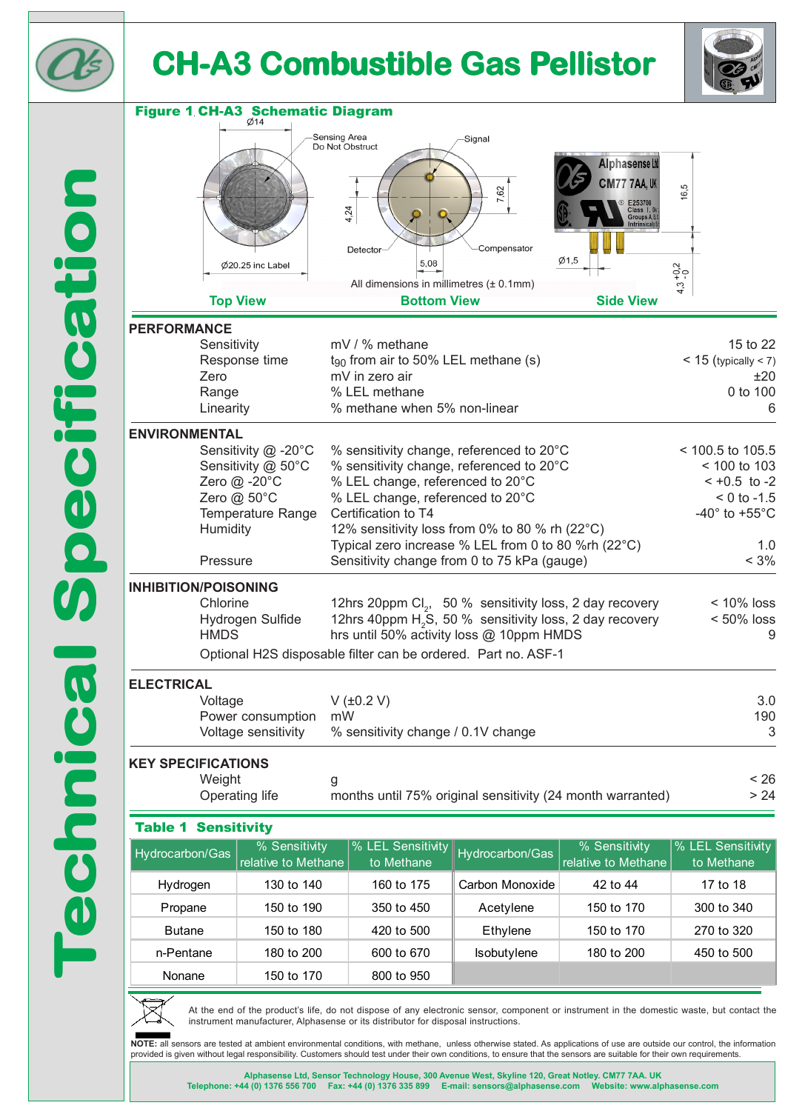



| <b>Figure 1 CH-A3 Schematic Diagram</b>                                              |                                                                                             |                                                                                                                               |                        |                                                                                                                                                         |                                                              |
|--------------------------------------------------------------------------------------|---------------------------------------------------------------------------------------------|-------------------------------------------------------------------------------------------------------------------------------|------------------------|---------------------------------------------------------------------------------------------------------------------------------------------------------|--------------------------------------------------------------|
| Sensing Area<br>Signal<br>Do Not Obstruct                                            |                                                                                             |                                                                                                                               |                        |                                                                                                                                                         |                                                              |
|                                                                                      | $\emptyset$ 20.25 inc Label<br><b>Top View</b>                                              | 4,24<br><b>Detector</b><br>5,08<br>All dimensions in millimetres (± 0.1mm)<br><b>Bottom View</b>                              | 7,62<br>Compensator    | <b>Alphasense Ltd</b><br><b>CM77 7AA, UK</b><br>E253708<br>Class I, Di<br>Groups A, B,<br><b>Intrinsically</b><br>$\varnothing$ 1,5<br><b>Side View</b> | 16,5<br>$4.3 + 0.2$                                          |
| <b>PERFORMANCE</b>                                                                   |                                                                                             |                                                                                                                               |                        |                                                                                                                                                         |                                                              |
| Zero                                                                                 | Sensitivity<br>Response time<br>Range<br>Linearity                                          | mV / % methane<br>$t_{90}$ from air to 50% LEL methane (s)<br>mV in zero air<br>% LEL methane<br>% methane when 5% non-linear |                        |                                                                                                                                                         | 15 to 22<br>$<$ 15 (typically $<$ 7)<br>±20<br>0 to 100<br>6 |
| <b>ENVIRONMENTAL</b>                                                                 | Sensitivity @ -20°C                                                                         | % sensitivity change, referenced to 20°C                                                                                      |                        |                                                                                                                                                         | < 100.5 to 105.5                                             |
|                                                                                      | Sensitivity @ 50°C                                                                          | % sensitivity change, referenced to 20°C                                                                                      |                        |                                                                                                                                                         | < 100 to 103                                                 |
| Zero @ -20°C<br>% LEL change, referenced to 20°C                                     |                                                                                             |                                                                                                                               |                        |                                                                                                                                                         | $-10.5$ to $-2$                                              |
|                                                                                      | Zero @ 50°C<br>% LEL change, referenced to 20°C<br>Temperature Range<br>Certification to T4 |                                                                                                                               |                        |                                                                                                                                                         | $< 0$ to $-1.5$<br>-40 $^{\circ}$ to +55 $^{\circ}$ C        |
| Humidity<br>12% sensitivity loss from 0% to 80 % rh (22°C)                           |                                                                                             |                                                                                                                               |                        |                                                                                                                                                         |                                                              |
| Pressure                                                                             |                                                                                             | Typical zero increase % LEL from 0 to 80 %rh (22°C)<br>Sensitivity change from 0 to 75 kPa (gauge)                            |                        |                                                                                                                                                         | 1.0<br>$< 3\%$                                               |
| <b>INHIBITION/POISONING</b>                                                          |                                                                                             |                                                                                                                               |                        |                                                                                                                                                         |                                                              |
|                                                                                      | Chlorine                                                                                    | 12hrs 20ppm Cl <sub>2</sub> , 50 % sensitivity loss, 2 day recovery                                                           |                        |                                                                                                                                                         | $< 10\%$ loss                                                |
| Hydrogen Sulfide<br><b>HMDS</b>                                                      |                                                                                             | 12hrs 40ppm H <sub>2</sub> S, 50 % sensitivity loss, 2 day recovery<br>hrs until 50% activity loss @ 10ppm HMDS               |                        |                                                                                                                                                         | $< 50\%$ loss<br>9                                           |
| Optional H2S disposable filter can be ordered. Part no. ASF-1                        |                                                                                             |                                                                                                                               |                        |                                                                                                                                                         |                                                              |
| <b>ELECTRICAL</b>                                                                    |                                                                                             |                                                                                                                               |                        |                                                                                                                                                         |                                                              |
| Voltage<br>Power consumption                                                         |                                                                                             | V (±0.2 V)<br>mW                                                                                                              |                        |                                                                                                                                                         | 3.0<br>190                                                   |
| Voltage sensitivity                                                                  |                                                                                             | % sensitivity change / 0.1V change                                                                                            |                        |                                                                                                                                                         | 3                                                            |
| <b>KEY SPECIFICATIONS</b>                                                            |                                                                                             |                                                                                                                               |                        |                                                                                                                                                         |                                                              |
| Weight                                                                               |                                                                                             | g                                                                                                                             |                        |                                                                                                                                                         | < 26                                                         |
| > 24<br>Operating life<br>months until 75% original sensitivity (24 month warranted) |                                                                                             |                                                                                                                               |                        |                                                                                                                                                         |                                                              |
| <b>Sensitivity</b><br><b>Table 1</b>                                                 |                                                                                             |                                                                                                                               |                        |                                                                                                                                                         |                                                              |
| Hydrocarbon/Gas                                                                      | % Sensitivity<br>relative to Methane                                                        | % LEL Sensitivity<br>to Methane                                                                                               | <b>Hydrocarbon/Gas</b> | % Sensitivity<br>relative to Methane                                                                                                                    | % LEL Sensitivity<br>to Methane                              |
| Hydrogen                                                                             | 130 to 140                                                                                  | 160 to 175                                                                                                                    | Carbon Monoxide        | 42 to 44                                                                                                                                                | 17 to 18                                                     |
| Propane                                                                              | 150 to 190                                                                                  | 350 to 450                                                                                                                    | Acetylene              | 150 to 170                                                                                                                                              | 300 to 340                                                   |
| <b>Butane</b>                                                                        | 150 to 180                                                                                  | 420 to 500                                                                                                                    | Ethylene               | 150 to 170                                                                                                                                              | 270 to 320                                                   |
| n-Pentane                                                                            | 180 to 200                                                                                  | 600 to 670                                                                                                                    | Isobutylene            | 180 to 200                                                                                                                                              | 450 to 500                                                   |



Nonane 150 to 170 800 to 950

At the end of the product's life, do not dispose of any electronic sensor, component or instrument in the domestic waste, but contact the instrument manufacturer, Alphasense or its distributor for disposal instructions.

**NOTE:** all sensors are tested at ambient environmental conditions, with methane, unless otherwise stated. As applications of use are outside our control, the information provided is given without legal responsibility. Customers should test under their own conditions, to ensure that the sensors are suitable for their own requirements.